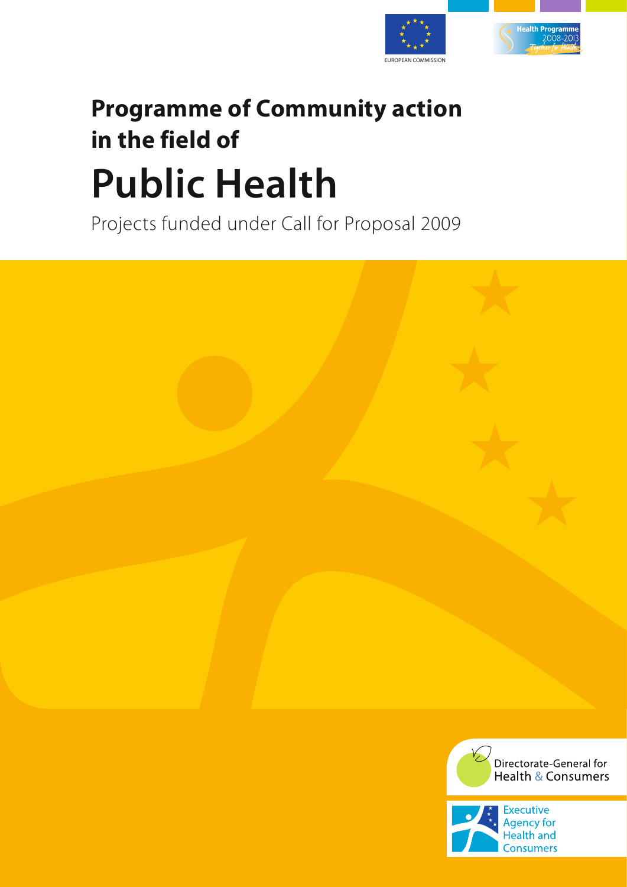

2008-201

# **Programme of Community action in the field of Public Health**

Projects funded under Call for Proposal 2009



**Executive Agency for** Health and Consumers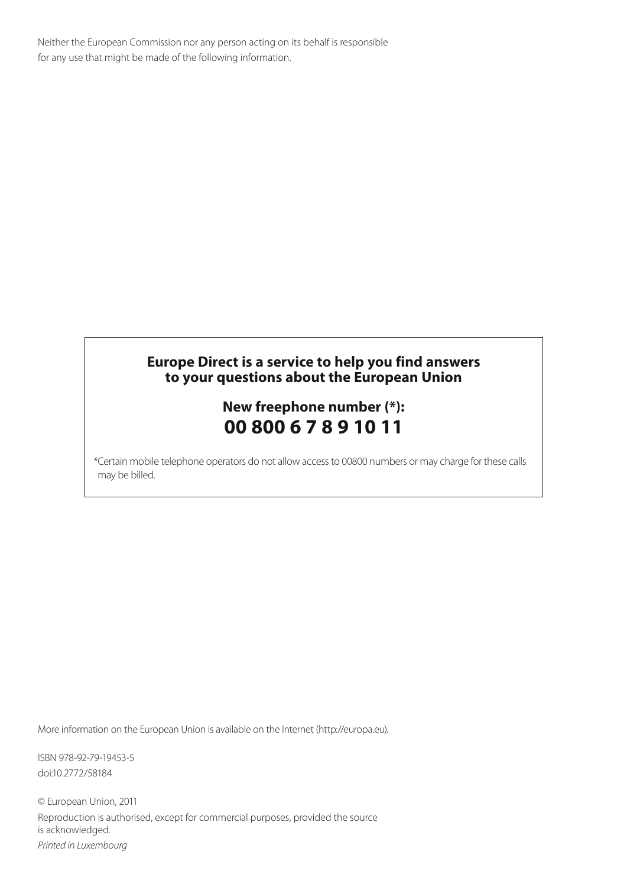Neither the European Commission nor any person acting on its behalf is responsible for any use that might be made of the following information.

### **Europe Direct is a service to help you find answers to your questions about the European Union**

## **New freephone number (\*): 00 800 6 7 8 9 10 11**

\* Certain mobile telephone operators do not allow access to 00800 numbers or may charge for these calls may be billed.

More information on the European Union is available on the Internet (http://europa.eu).

ISBN 978-92-79-19453-5 doi:10.2772/58184

© European Union, 2011 Reproduction is authorised, except for commercial purposes, provided the source is acknowledged. Printed in Luxembourg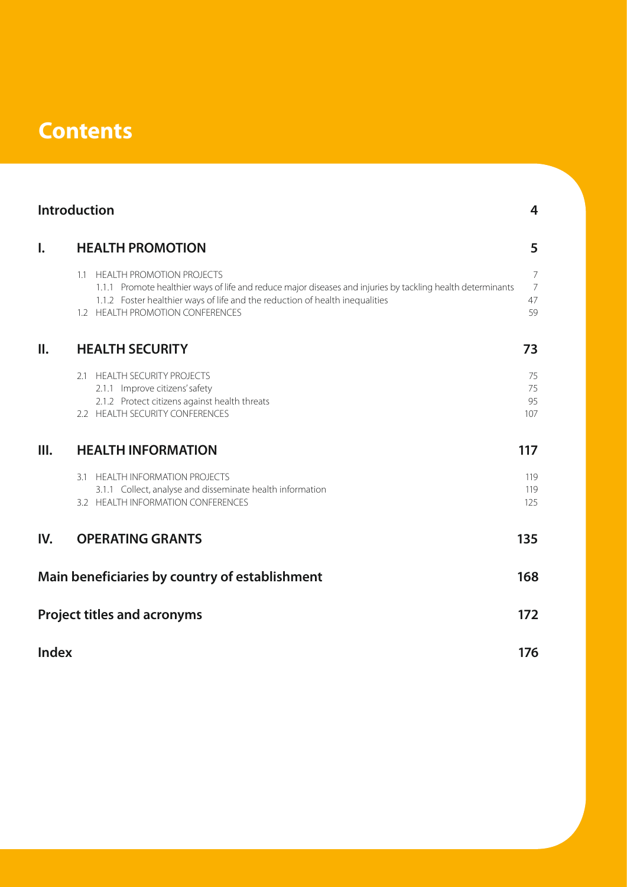# **Contents**

|                | <b>Introduction</b>                                                                                                                                                                                                                                                        | 4                               |
|----------------|----------------------------------------------------------------------------------------------------------------------------------------------------------------------------------------------------------------------------------------------------------------------------|---------------------------------|
| $\mathsf{I}$ . | <b>HEALTH PROMOTION</b>                                                                                                                                                                                                                                                    | 5                               |
|                | <b>HEALTH PROMOTION PROJECTS</b><br>1.1<br>1.1.1 Promote healthier ways of life and reduce major diseases and injuries by tackling health determinants<br>1.1.2 Foster healthier ways of life and the reduction of health inequalities<br>1.2 HEALTH PROMOTION CONFERENCES | 7<br>$\overline{7}$<br>47<br>59 |
| Ш.             | <b>HEALTH SECURITY</b>                                                                                                                                                                                                                                                     | 73                              |
|                | 2.1 HEALTH SECURITY PROJECTS<br>2.1.1 Improve citizens' safety<br>2.1.2 Protect citizens against health threats                                                                                                                                                            | 75<br>75<br>95                  |
| III.           | 2.2 HEALTH SECURITY CONFERENCES<br><b>HEALTH INFORMATION</b>                                                                                                                                                                                                               | 107<br>117                      |
|                |                                                                                                                                                                                                                                                                            |                                 |
|                | 3.1 HEALTH INFORMATION PROJECTS<br>3.1.1 Collect, analyse and disseminate health information<br>3.2 HEALTH INFORMATION CONFERENCES                                                                                                                                         | 119<br>119<br>125               |
| IV.            | <b>OPERATING GRANTS</b>                                                                                                                                                                                                                                                    | 135                             |
|                | Main beneficiaries by country of establishment                                                                                                                                                                                                                             | 168                             |
|                | <b>Project titles and acronyms</b>                                                                                                                                                                                                                                         | 172                             |
| <b>Index</b>   |                                                                                                                                                                                                                                                                            | 176                             |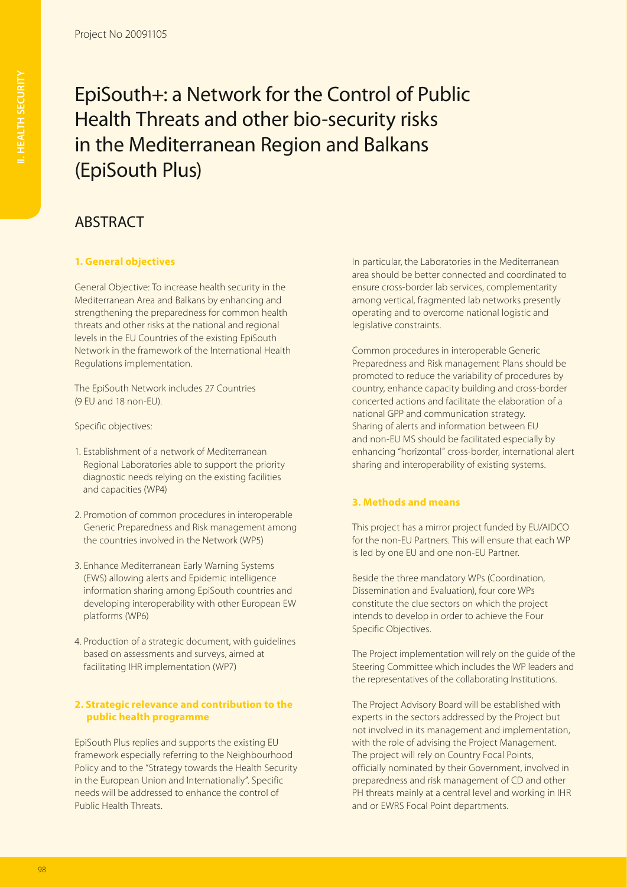# EpiSouth+: a Network for the Control of Public Health Threats and other bio-security risks in the Mediterranean Region and Balkans (EpiSouth Plus)

### ABSTRACT

#### **1. General objectives**

General Objective: To increase health security in the Mediterranean Area and Balkans by enhancing and strengthening the preparedness for common health threats and other risks at the national and regional levels in the EU Countries of the existing EpiSouth Network in the framework of the International Health Regulations implementation.

The EpiSouth Network includes 27 Countries (9 EU and 18 non-EU).

Specific objectives:

- 1. Establishment of a network of Mediterranean Regional Laboratories able to support the priority diagnostic needs relying on the existing facilities and capacities (WP4)
- 2. Promotion of common procedures in interoperable Generic Preparedness and Risk management among the countries involved in the Network (WP5)
- 3. Enhance Mediterranean Early Warning Systems (EWS) allowing alerts and Epidemic intelligence information sharing among EpiSouth countries and developing interoperability with other European EW platforms (WP6)
- 4. Production of a strategic document, with guidelines based on assessments and surveys, aimed at facilitating IHR implementation (WP7)

#### **2. Strategic relevance and contribution to the public health programme**

EpiSouth Plus replies and supports the existing EU framework especially referring to the Neighbourhood Policy and to the "Strategy towards the Health Security in the European Union and Internationally". Specific needs will be addressed to enhance the control of Public Health Threats.

In particular, the Laboratories in the Mediterranean area should be better connected and coordinated to ensure cross-border lab services, complementarity among vertical, fragmented lab networks presently operating and to overcome national logistic and legislative constraints.

Common procedures in interoperable Generic Preparedness and Risk management Plans should be promoted to reduce the variability of procedures by country, enhance capacity building and cross-border concerted actions and facilitate the elaboration of a national GPP and communication strategy. Sharing of alerts and information between EU and non-EU MS should be facilitated especially by enhancing "horizontal" cross-border, international alert sharing and interoperability of existing systems.

#### **3. Methods and means**

This project has a mirror project funded by EU/AIDCO for the non-EU Partners. This will ensure that each WP is led by one EU and one non-EU Partner.

Beside the three mandatory WPs (Coordination, Dissemination and Evaluation), four core WPs constitute the clue sectors on which the project intends to develop in order to achieve the Four Specific Objectives.

The Project implementation will rely on the guide of the Steering Committee which includes the WP leaders and the representatives of the collaborating Institutions.

The Project Advisory Board will be established with experts in the sectors addressed by the Project but not involved in its management and implementation, with the role of advising the Project Management. The project will rely on Country Focal Points, officially nominated by their Government, involved in preparedness and risk management of CD and other PH threats mainly at a central level and working in IHR and or EWRS Focal Point departments.